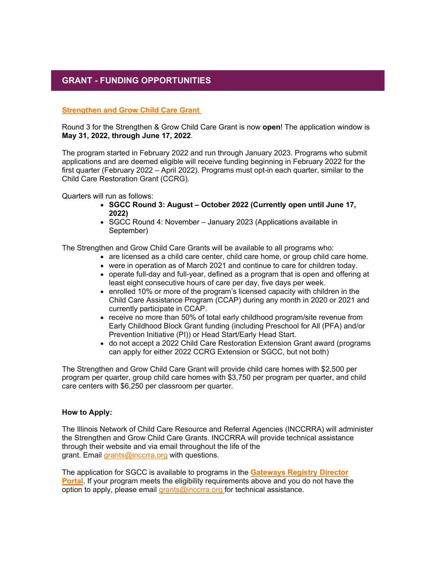# **GRANT - FUNDING OPPORTUNITIES**

## **[Strengthen and Grow Child Care Grant](https://urldefense.proofpoint.com/v2/url?u=https-3A__www.ilgateways.com_financial-2Dopportunities_strengthen-2Dand-2Dgrow-2Dchild-2Dcare-2Dgrants&d=DwMFaQ&c=euGZstcaTDllvimEN8b7jXrwqOf-v5A_CdpgnVfiiMM&r=gDOaVm5AUM5na5jHJ1HiJA&m=pd24isstHAN93X2n1R6BfEsiVjE1WlXv5gzRuQYapRU&s=SqzZ-xs9nnLl3hXEHBs0vaK_3TbXdlSuWZYt03-uhyI&e=)**

Round 3 for the Strengthen & Grow Child Care Grant is now **open**! The application window is **May 31, 2022, through June 17, 2022**.

The program started in February 2022 and run through January 2023. Programs who submit applications and are deemed eligible will receive funding beginning in February 2022 for the first quarter (February 2022 – April 2022). Programs must opt-in each quarter, similar to the Child Care Restoration Grant (CCRG).

Quarters will run as follows:

- **SGCC Round 3: August October 2022 (Currently open until June 17, 2022)**
- SGCC Round 4: November January 2023 (Applications available in September)

The Strengthen and Grow Child Care Grants will be available to all programs who:

- are licensed as a child care center, child care home, or group child care home.
- were in operation as of March 2021 and continue to care for children today.
- operate full-day and full-year, defined as a program that is open and offering at least eight consecutive hours of care per day, five days per week.
- enrolled 10% or more of the program's licensed capacity with children in the Child Care Assistance Program (CCAP) during any month in 2020 or 2021 and currently participate in CCAP.
- receive no more than 50% of total early childhood program/site revenue from Early Childhood Block Grant funding (including Preschool for All (PFA) and/or Prevention Initiative (PI)) or Head Start/Early Head Start.
- do not accept a 2022 Child Care Restoration Extension Grant award (programs can apply for either 2022 CCRG Extension or SGCC, but not both)

The Strengthen and Grow Child Care Grant will provide child care homes with \$2,500 per program per quarter, group child care homes with \$3,750 per program per quarter, and child care centers with \$6,250 per classroom per quarter.

## **How to Apply:**

The Illinois Network of Child Care Resource and Referral Agencies (INCCRRA) will administer the Strengthen and Grow Child Care Grants. INCCRRA will provide technical assistance through their website and via email throughout the life of the grant. Email [grants@inccrra.org](mailto:grants@inccrra.org) with questions.

The application for SGCC is available to programs in the **[Gateways Registry Director](https://urldefense.proofpoint.com/v2/url?u=https-3A__registry.ilgateways.com_be-2Da-2Dmember_director-2Dportal&d=DwMFaQ&c=euGZstcaTDllvimEN8b7jXrwqOf-v5A_CdpgnVfiiMM&r=gDOaVm5AUM5na5jHJ1HiJA&m=pd24isstHAN93X2n1R6BfEsiVjE1WlXv5gzRuQYapRU&s=dFu9DJSBV9Scet9l5flhiZf0URwBMl2HUyVSK_suQCU&e=)  [Portal](https://urldefense.proofpoint.com/v2/url?u=https-3A__registry.ilgateways.com_be-2Da-2Dmember_director-2Dportal&d=DwMFaQ&c=euGZstcaTDllvimEN8b7jXrwqOf-v5A_CdpgnVfiiMM&r=gDOaVm5AUM5na5jHJ1HiJA&m=pd24isstHAN93X2n1R6BfEsiVjE1WlXv5gzRuQYapRU&s=dFu9DJSBV9Scet9l5flhiZf0URwBMl2HUyVSK_suQCU&e=)**. If your program meets the eligibility requirements above and you do not have the option to apply, please email [grants@inccrra.org](mailto:grants@inccrra.org) for technical assistance.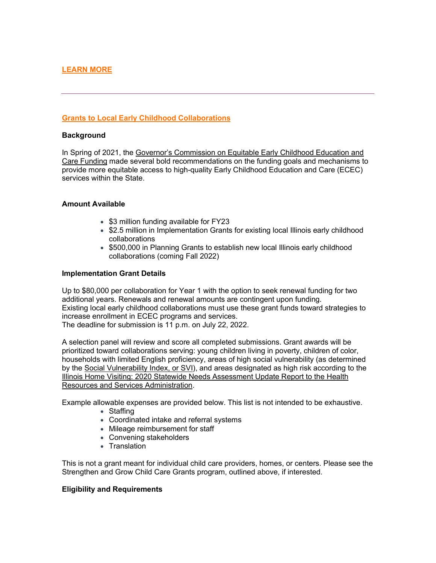## **[LEARN MORE](https://urldefense.proofpoint.com/v2/url?u=https-3A__www.ilgateways.com_financial-2Dopportunities_strengthen-2Dand-2Dgrow-2Dchild-2Dcare-2Dgrants&d=DwMFaQ&c=euGZstcaTDllvimEN8b7jXrwqOf-v5A_CdpgnVfiiMM&r=gDOaVm5AUM5na5jHJ1HiJA&m=pd24isstHAN93X2n1R6BfEsiVjE1WlXv5gzRuQYapRU&s=SqzZ-xs9nnLl3hXEHBs0vaK_3TbXdlSuWZYt03-uhyI&e=)**

#### **[Grants to Local Early Childhood Collaborations](https://urldefense.proofpoint.com/v2/url?u=https-3A__www.birthtofiveil.com_grants&d=DwMFaQ&c=euGZstcaTDllvimEN8b7jXrwqOf-v5A_CdpgnVfiiMM&r=gDOaVm5AUM5na5jHJ1HiJA&m=pd24isstHAN93X2n1R6BfEsiVjE1WlXv5gzRuQYapRU&s=sZ8_wWBmaSIc5tUNd_6CZ21vnj9v7n-jdi560q0sja8&e=)**

#### **Background**

In Spring of 2021, the Governor's Commission on Equitable Early Childhood Education and [Care Funding](https://urldefense.proofpoint.com/v2/url?u=https-3A__www2.illinois.gov_sites_OECD_Pages_Governor-27s-2DEarly-2DChildhood-2DFunding-2DCommission.aspx&d=DwMFaQ&c=euGZstcaTDllvimEN8b7jXrwqOf-v5A_CdpgnVfiiMM&r=gDOaVm5AUM5na5jHJ1HiJA&m=pd24isstHAN93X2n1R6BfEsiVjE1WlXv5gzRuQYapRU&s=QvZ74bUCB-X06Z4STVg_4mq0ZonRCXOgI8JD61Iji74&e=) made several bold recommendations on the funding goals and mechanisms to provide more equitable access to high-quality Early Childhood Education and Care (ECEC) services within the State.

#### **Amount Available**

- \$3 million funding available for FY23
- \$2.5 million in Implementation Grants for existing local Illinois early childhood collaborations
- \$500,000 in Planning Grants to establish new local Illinois early childhood collaborations (coming Fall 2022)

#### **Implementation Grant Details**

Up to \$80,000 per collaboration for Year 1 with the option to seek renewal funding for two additional years. Renewals and renewal amounts are contingent upon funding. Existing local early childhood collaborations must use these grant funds toward strategies to increase enrollment in ECEC programs and services.

The deadline for submission is 11 p.m. on July 22, 2022.

A selection panel will review and score all completed submissions. Grant awards will be prioritized toward collaborations serving: young children living in poverty, children of color, households with limited English proficiency, areas of high social vulnerability (as determined by the [Social Vulnerability Index, or SVI\)](https://urldefense.proofpoint.com/v2/url?u=https-3A__www.atsdr.cdc.gov_placeandhealth_svi_fact-5Fsheet_fact-5Fsheet.html&d=DwMFaQ&c=euGZstcaTDllvimEN8b7jXrwqOf-v5A_CdpgnVfiiMM&r=gDOaVm5AUM5na5jHJ1HiJA&m=pd24isstHAN93X2n1R6BfEsiVjE1WlXv5gzRuQYapRU&s=--WCiqLuwVpJvvy5AVCSd5Cyk6iMDXk47f2UuQ3PqJ8&e=), and areas designated as high risk according to the [Illinois Home Visiting: 2020 Statewide Needs Assessment Update Report to the Health](https://urldefense.proofpoint.com/v2/url?u=https-3A__cprd.illinois.edu_files_2020_12_Illinois-2DHV-2DNeeds-2DAssessment-2DReport-2DCPRD-2D2020.pdf&d=DwMFaQ&c=euGZstcaTDllvimEN8b7jXrwqOf-v5A_CdpgnVfiiMM&r=gDOaVm5AUM5na5jHJ1HiJA&m=pd24isstHAN93X2n1R6BfEsiVjE1WlXv5gzRuQYapRU&s=N7PjeR764rhP1grXVlRm6ELW-PFUeR7CcCwTO2gSabg&e=)  [Resources and Services Administration.](https://urldefense.proofpoint.com/v2/url?u=https-3A__cprd.illinois.edu_files_2020_12_Illinois-2DHV-2DNeeds-2DAssessment-2DReport-2DCPRD-2D2020.pdf&d=DwMFaQ&c=euGZstcaTDllvimEN8b7jXrwqOf-v5A_CdpgnVfiiMM&r=gDOaVm5AUM5na5jHJ1HiJA&m=pd24isstHAN93X2n1R6BfEsiVjE1WlXv5gzRuQYapRU&s=N7PjeR764rhP1grXVlRm6ELW-PFUeR7CcCwTO2gSabg&e=)

Example allowable expenses are provided below. This list is not intended to be exhaustive.

- Staffing
- Coordinated intake and referral systems
- Mileage reimbursement for staff
- Convening stakeholders
- Translation

This is not a grant meant for individual child care providers, homes, or centers. Please see the Strengthen and Grow Child Care Grants program, outlined above, if interested.

## **Eligibility and Requirements**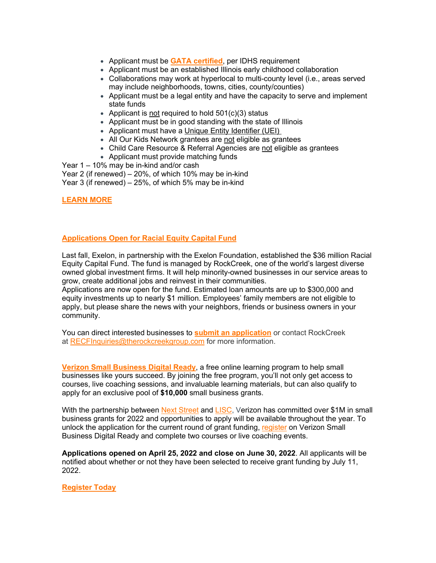- Applicant must be **[GATA certified](https://urldefense.proofpoint.com/v2/url?u=https-3A__www2.illinois.gov_sites_GATA_Pages_default.aspx&d=DwMFaQ&c=euGZstcaTDllvimEN8b7jXrwqOf-v5A_CdpgnVfiiMM&r=gDOaVm5AUM5na5jHJ1HiJA&m=pd24isstHAN93X2n1R6BfEsiVjE1WlXv5gzRuQYapRU&s=Ux9R8aUv_s8BvZjz6SuVyWCwhY72PUvUpHQywNfTmXM&e=)**, per IDHS requirement
- Applicant must be an established Illinois early childhood collaboration
- Collaborations may work at hyperlocal to multi-county level (i.e., areas served may include neighborhoods, towns, cities, county/counties)
- Applicant must be a legal entity and have the capacity to serve and implement state funds
- Applicant is not required to hold  $501(c)(3)$  status
- Applicant must be in good standing with the state of Illinois
- Applicant must have a [Unique Entity Identifier \(UEI\)](https://urldefense.proofpoint.com/v2/url?u=https-3A__sam.gov_content_entity-2Dregistration&d=DwMFaQ&c=euGZstcaTDllvimEN8b7jXrwqOf-v5A_CdpgnVfiiMM&r=gDOaVm5AUM5na5jHJ1HiJA&m=pd24isstHAN93X2n1R6BfEsiVjE1WlXv5gzRuQYapRU&s=4pS5NbKIrxf9o2Hgy6uz2cw25F42xn6sO21ChAKi7Uo&e=)
- All Our Kids Network grantees are not eligible as grantees
- Child Care Resource & Referral Agencies are not eligible as grantees
- Applicant must provide matching funds

Year 1 – 10% may be in-kind and/or cash

Year 2 (if renewed) – 20%, of which 10% may be in-kind

Year 3 (if renewed) – 25%, of which 5% may be in-kind

## **[LEARN MORE](https://urldefense.proofpoint.com/v2/url?u=https-3A__www.birthtofiveil.com_grants&d=DwMFaQ&c=euGZstcaTDllvimEN8b7jXrwqOf-v5A_CdpgnVfiiMM&r=gDOaVm5AUM5na5jHJ1HiJA&m=pd24isstHAN93X2n1R6BfEsiVjE1WlXv5gzRuQYapRU&s=sZ8_wWBmaSIc5tUNd_6CZ21vnj9v7n-jdi560q0sja8&e=)**

## **[Applications Open for Racial Equity Capital Fund](https://urldefense.proofpoint.com/v2/url?u=https-3A__therockcreekgroup.com_news_racial-2Dequity-2Dcapital-2Dfund_-3Futm-5Fcampaign-3DThe-2520Wavelength-26utm-5Fmedium-3Demail-26-5Fhsmi-3D212185517-26-5Fhsenc-3Dp2ANqtz-2D-5FFaBjfBYqOaqUkx3tmr-2DWoHTWVKZKVgWJSl8Y3p3F6l9hFlVdHsBZcqY9269IsW5H1Iqybfrntsw6QRqKcKDYzoRbL0Rououg2LNfWktZp-5FmC9Hh0-26utm-5Fcontent-3D212185517-26utm-5Fsource-3Dhs-5Femail&d=DwMFaQ&c=euGZstcaTDllvimEN8b7jXrwqOf-v5A_CdpgnVfiiMM&r=gDOaVm5AUM5na5jHJ1HiJA&m=pd24isstHAN93X2n1R6BfEsiVjE1WlXv5gzRuQYapRU&s=lK_2axdN14eUDucAQgXpxKsJbuv2oVJyxgJxwpvyY-A&e=)**

Last fall, Exelon, in partnership with the Exelon Foundation, established the \$36 million Racial Equity Capital Fund. The fund is managed by RockCreek, one of the world's largest diverse owned global investment firms. It will help minority-owned businesses in our service areas to grow, create additional jobs and reinvest in their communities.

Applications are now open for the fund. Estimated loan amounts are up to \$300,000 and equity investments up to nearly \$1 million. Employees' family members are not eligible to apply, but please share the news with your neighbors, friends or business owners in your community.

You can direct interested businesses to **submit [an application](https://urldefense.proofpoint.com/v2/url?u=https-3A__content.exeloncorp.com_e3t_Ctc_RC-2B113_c2JpM04_VW-2Dd8J4QPSSqW2txFWZ8WBDjsW37H-5FhZ4JKcmWN5l4bj-5F3q3n-5FV1-2DWJV7CgQSTW2QyHqp3n6LR7W4nbtXV29pS-2D2W9bcrk644-2Dh6GW3d7L-2DS5BrsclW4q5BPn5blsFyW7qQgj85Kd1yVN4GJ84k-5FhZ09W2pQBYG5FdRpTV88nHB113QxwN73-2DtQvjTCK0N5nNSD7pRWbcW2t-2DF4s243V3MVyRrJ14TNnNCW5CjN4c2YgY5qW4NZKX-2D8XBKt6W1GDPYY8vyj8lW4DFKy94qq3vRW484kDc8rH3g6Mz-2DZbjP-2DZ0QW2hV1wC2Q7t-5FRW4Mhq9h30r5YwN8cfVscTSp1FW8Bhnk23cMzwKW816b6d21rnJmW163R2N1Brd0PW2dxxbh56xj1h3jkw1&d=DwMFAg&c=euGZstcaTDllvimEN8b7jXrwqOf-v5A_CdpgnVfiiMM&r=uKPpZD7dlvDhrm2DqDE8-g&m=tbtoRqhqsFk9wcqYLZeNFaOdUCvgtcLK5UcozVAQQ_k&s=AhS8-fFLHL5Pnh9vyeG7oujgywVLt9sF3jr0Xd_qxVM&e=)** or contact RockCreek at [RECFInquiries@therockcreekgroup.com](mailto:RECFInquiries@therockcreekgroup.com) for more information.

**[Verizon Small Business Digital Ready](https://urldefense.proofpoint.com/v2/url?u=https-3A__www.verizon.com_about_responsibility_digital-2Dinclusion_small-2Dbusiness-2Dtraining-3Futm-5Fsource-3Dnext-2Dstreet-26utm-5Fmedium-3Dpartner-26utm-5Fcampaign-3Ddigital-2Dready-2Dlaunch-26utm-5Fcontent-3Dcook-2Dcounty-26utm-5Fterm-3Dplatform-2Dnational&d=DwMFaQ&c=euGZstcaTDllvimEN8b7jXrwqOf-v5A_CdpgnVfiiMM&r=gDOaVm5AUM5na5jHJ1HiJA&m=pd24isstHAN93X2n1R6BfEsiVjE1WlXv5gzRuQYapRU&s=cgc0RKwwViq-cEYcAC507MXjjDtt9PL8vxLLepRQFOY&e=)**, a free online learning program to help small businesses like yours succeed. By joining the free program, you'll not only get access to courses, live coaching sessions, and invaluable learning materials, but can also qualify to apply for an exclusive pool of **\$10,000** small business grants.

With the partnership between [Next Street](https://urldefense.proofpoint.com/v2/url?u=https-3A__nextstreet.com_&d=DwMFaQ&c=euGZstcaTDllvimEN8b7jXrwqOf-v5A_CdpgnVfiiMM&r=gDOaVm5AUM5na5jHJ1HiJA&m=pd24isstHAN93X2n1R6BfEsiVjE1WlXv5gzRuQYapRU&s=POrCkVof3dePGk3ATo6FlNy8VfyrTyzFfpNxGP8VTDQ&e=) and [LISC,](https://urldefense.proofpoint.com/v2/url?u=https-3A__www.lisc.org_&d=DwMFaQ&c=euGZstcaTDllvimEN8b7jXrwqOf-v5A_CdpgnVfiiMM&r=gDOaVm5AUM5na5jHJ1HiJA&m=pd24isstHAN93X2n1R6BfEsiVjE1WlXv5gzRuQYapRU&s=zDuFAvx05hk1dl07GJRuaowwscdghEfmFoTdT8yVrsA&e=) Verizon has committed over \$1M in small business grants for 2022 and opportunities to apply will be available throughout the year. To unlock the application for the current round of grant funding, [register](https://urldefense.proofpoint.com/v2/url?u=https-3A__www.verizon.com_about_responsibility_digital-2Dinclusion_small-2Dbusiness-2Dtraining-3Futm-5Fsource-3Dnext-2Dstreet-26utm-5Fmedium-3Dpartner-26utm-5Fcampaign-3Ddigital-2Dready-2Dlaunch-26utm-5Fcontent-3Dcook-2Dcounty-26utm-5Fterm-3Dplatform-2Dnational&d=DwMFAg&c=euGZstcaTDllvimEN8b7jXrwqOf-v5A_CdpgnVfiiMM&r=yvexZOf1PjW9KHIyzTGBwRPydsLspvPf9BOdPsYSeWA&m=zZigjWOQJKf9K3THZtJdfCkAwjoZ3kZoLhjeZHeZFGA&s=tj5tW1no-uQA89-GHO0yryAw_6UrLD-yQbkJPKyR2G8&e=) on Verizon Small Business Digital Ready and complete two courses or live coaching events.

**Applications opened on April 25, 2022 and close on June 30, 2022**. All applicants will be notified about whether or not they have been selected to receive grant funding by July 11, 2022.

## **[Register Today](https://urldefense.proofpoint.com/v2/url?u=https-3A__www.verizon.com_about_responsibility_digital-2Dinclusion_small-2Dbusiness-2Dtraining-3Futm-5Fsource-3Dnext-2Dstreet-26utm-5Fmedium-3Dpartner-26utm-5Fcampaign-3Ddigital-2Dready-2Dlaunch-26utm-5Fcontent-3Dcook-2Dcounty-26utm-5Fterm-3Dplatform-2Dnational&d=DwMFAg&c=euGZstcaTDllvimEN8b7jXrwqOf-v5A_CdpgnVfiiMM&r=yvexZOf1PjW9KHIyzTGBwRPydsLspvPf9BOdPsYSeWA&m=zZigjWOQJKf9K3THZtJdfCkAwjoZ3kZoLhjeZHeZFGA&s=tj5tW1no-uQA89-GHO0yryAw_6UrLD-yQbkJPKyR2G8&e=)**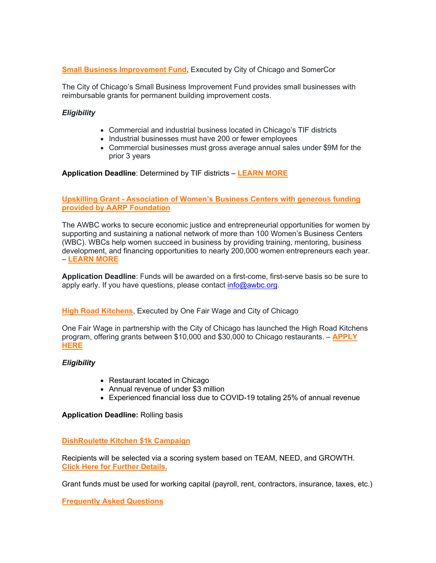**[Small Business Improvement Fund](https://urldefense.proofpoint.com/v2/url?u=https-3A__somercor.com_sbif_&d=DwMFaQ&c=euGZstcaTDllvimEN8b7jXrwqOf-v5A_CdpgnVfiiMM&r=gDOaVm5AUM5na5jHJ1HiJA&m=pd24isstHAN93X2n1R6BfEsiVjE1WlXv5gzRuQYapRU&s=1ImU45AF10KKaZS23w9Fx2n8WUKSGT5OcZ4N-laVzg0&e=)**, Executed by City of Chicago and SomerCor

The City of Chicago's Small Business Improvement Fund provides small businesses with reimbursable grants for permanent building improvement costs.

## *Eligibility*

- Commercial and industrial business located in Chicago's TIF districts
- Industrial businesses must have 200 or fewer employees
- Commercial businesses must gross average annual sales under \$9M for the prior 3 years

## **Application Deadline**: Determined by TIF districts – **[LEARN MORE](https://urldefense.proofpoint.com/v2/url?u=https-3A__somercor.com_sbif_&d=DwMFaQ&c=euGZstcaTDllvimEN8b7jXrwqOf-v5A_CdpgnVfiiMM&r=gDOaVm5AUM5na5jHJ1HiJA&m=pd24isstHAN93X2n1R6BfEsiVjE1WlXv5gzRuQYapRU&s=1ImU45AF10KKaZS23w9Fx2n8WUKSGT5OcZ4N-laVzg0&e=)**

## **[Upskilling Grant - Association of Women's Business Centers with generous funding](https://urldefense.proofpoint.com/v2/url?u=https-3A__awbc.smapply.org_prog_2022_&d=DwMFaQ&c=euGZstcaTDllvimEN8b7jXrwqOf-v5A_CdpgnVfiiMM&r=gDOaVm5AUM5na5jHJ1HiJA&m=pd24isstHAN93X2n1R6BfEsiVjE1WlXv5gzRuQYapRU&s=iBuEd595GIFswUbQxi6L1wMx6TbBhfg4m9RZI8VgwPU&e=)  [provided by AARP Foundation](https://urldefense.proofpoint.com/v2/url?u=https-3A__awbc.smapply.org_prog_2022_&d=DwMFaQ&c=euGZstcaTDllvimEN8b7jXrwqOf-v5A_CdpgnVfiiMM&r=gDOaVm5AUM5na5jHJ1HiJA&m=pd24isstHAN93X2n1R6BfEsiVjE1WlXv5gzRuQYapRU&s=iBuEd595GIFswUbQxi6L1wMx6TbBhfg4m9RZI8VgwPU&e=)**

The AWBC works to secure economic justice and entrepreneurial opportunities for women by supporting and sustaining a national network of more than 100 Women's Business Centers (WBC). WBCs help women succeed in business by providing training, mentoring, business development, and financing opportunities to nearly 200,000 women entrepreneurs each year. – **[LEARN MORE](https://urldefense.proofpoint.com/v2/url?u=https-3A__awbc.smapply.org_&d=DwMFaQ&c=euGZstcaTDllvimEN8b7jXrwqOf-v5A_CdpgnVfiiMM&r=gDOaVm5AUM5na5jHJ1HiJA&m=pd24isstHAN93X2n1R6BfEsiVjE1WlXv5gzRuQYapRU&s=cpFVzQbNh6Mxgz6OdjCpNqJNKPGLhPCGmBgznf4W_Qc&e=)**

**Application Deadline**: Funds will be awarded on a first-come, first-serve basis so be sure to apply early. If you have questions, please contact [info@awbc.org.](mailto:info@awbc.org)

## **[High Road Kitchens](https://urldefense.proofpoint.com/v2/url?u=https-3A__docs.google.com_forms_d_e_1FAIpQLSdPUZZJg0pR2aM3JqCjYgE73obEkqKwFvyFF4s-5FY8QNOMsdgQ_viewform&d=DwMFaQ&c=euGZstcaTDllvimEN8b7jXrwqOf-v5A_CdpgnVfiiMM&r=gDOaVm5AUM5na5jHJ1HiJA&m=pd24isstHAN93X2n1R6BfEsiVjE1WlXv5gzRuQYapRU&s=ft6mfF6itoXr2FudS_kvLJO1EZVd5fcIBg7K9ymBfNs&e=)**, Executed by One Fair Wage and City of Chicago

One Fair Wage in partnership with the City of Chicago has launched the High Road Kitchens program, offering grants between \$10,000 and \$30,000 to Chicago restaurants. – **[APPLY](https://urldefense.proofpoint.com/v2/url?u=https-3A__docs.google.com_forms_d_e_1FAIpQLSdPUZZJg0pR2aM3JqCjYgE73obEkqKwFvyFF4s-5FY8QNOMsdgQ_viewform&d=DwMFaQ&c=euGZstcaTDllvimEN8b7jXrwqOf-v5A_CdpgnVfiiMM&r=gDOaVm5AUM5na5jHJ1HiJA&m=pd24isstHAN93X2n1R6BfEsiVjE1WlXv5gzRuQYapRU&s=ft6mfF6itoXr2FudS_kvLJO1EZVd5fcIBg7K9ymBfNs&e=)  [HERE](https://urldefense.proofpoint.com/v2/url?u=https-3A__docs.google.com_forms_d_e_1FAIpQLSdPUZZJg0pR2aM3JqCjYgE73obEkqKwFvyFF4s-5FY8QNOMsdgQ_viewform&d=DwMFaQ&c=euGZstcaTDllvimEN8b7jXrwqOf-v5A_CdpgnVfiiMM&r=gDOaVm5AUM5na5jHJ1HiJA&m=pd24isstHAN93X2n1R6BfEsiVjE1WlXv5gzRuQYapRU&s=ft6mfF6itoXr2FudS_kvLJO1EZVd5fcIBg7K9ymBfNs&e=)**

## *Eligibility*

- Restaurant located in Chicago
- Annual revenue of under \$3 million
- Experienced financial loss due to COVID-19 totaling 25% of annual revenue

## **Application Deadline:** Rolling basis

## **[DishRoulette Kitchen \\$1k Campaign](https://urldefense.proofpoint.com/v2/url?u=https-3A__www.dishroulettekitchen.com_apply&d=DwMFaQ&c=euGZstcaTDllvimEN8b7jXrwqOf-v5A_CdpgnVfiiMM&r=gDOaVm5AUM5na5jHJ1HiJA&m=pd24isstHAN93X2n1R6BfEsiVjE1WlXv5gzRuQYapRU&s=yukQJIU54TSPIxdIMcHll9bUWf0xmlIL33HndL_LTdc&e=)**

Recipients will be selected via a scoring system based on TEAM, NEED, and GROWTH. **[Click Here for Further Details.](https://urldefense.proofpoint.com/v2/url?u=https-3A__www.dishroulettekitchen.com_faq&d=DwMFaQ&c=euGZstcaTDllvimEN8b7jXrwqOf-v5A_CdpgnVfiiMM&r=gDOaVm5AUM5na5jHJ1HiJA&m=pd24isstHAN93X2n1R6BfEsiVjE1WlXv5gzRuQYapRU&s=f4Ut0YEThNUn8pcuhIGytn03yqTroWXWUfHrMsQSMuQ&e=)**

Grant funds must be used for working capital (payroll, rent, contractors, insurance, taxes, etc.)

**[Frequently Asked Questions](https://urldefense.proofpoint.com/v2/url?u=https-3A__www.dishroulettekitchen.com_faq&d=DwMFaQ&c=euGZstcaTDllvimEN8b7jXrwqOf-v5A_CdpgnVfiiMM&r=gDOaVm5AUM5na5jHJ1HiJA&m=pd24isstHAN93X2n1R6BfEsiVjE1WlXv5gzRuQYapRU&s=f4Ut0YEThNUn8pcuhIGytn03yqTroWXWUfHrMsQSMuQ&e=)**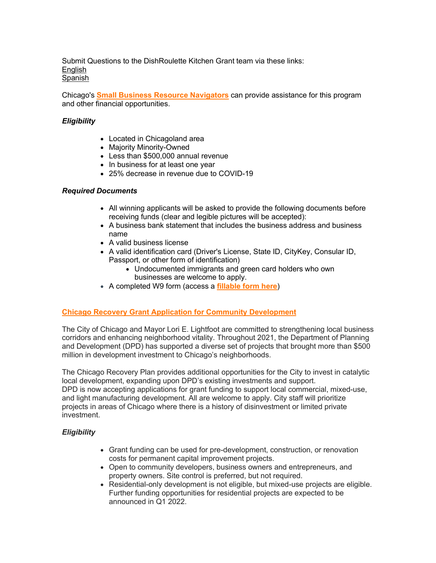Submit Questions to the DishRoulette Kitchen Grant team via these links: **[English](https://urldefense.proofpoint.com/v2/url?u=https-3A__www.dishroulettekitchen.com_contact-2Dus&d=DwMFaQ&c=euGZstcaTDllvimEN8b7jXrwqOf-v5A_CdpgnVfiiMM&r=gDOaVm5AUM5na5jHJ1HiJA&m=pd24isstHAN93X2n1R6BfEsiVjE1WlXv5gzRuQYapRU&s=eYzy-gc3cnOZJhtcOMLBJKmQcX7YB25zsoU4xgZKFQU&e=)** [Spanish](https://urldefense.proofpoint.com/v2/url?u=https-3A__www.dishroulettekitchen.com_contact-2Dus-2Dspanish&d=DwMFaQ&c=euGZstcaTDllvimEN8b7jXrwqOf-v5A_CdpgnVfiiMM&r=gDOaVm5AUM5na5jHJ1HiJA&m=pd24isstHAN93X2n1R6BfEsiVjE1WlXv5gzRuQYapRU&s=sdvQh7kgoL6HAxlTq3-BIXHrJsXcSZ_0j8U_8DX2g8A&e=)

Chicago's **[Small Business Resource Navigators](https://urldefense.proofpoint.com/v2/url?u=https-3A__www.chicago.gov_content_dam_city_depts_bacp_general_COVID-2D19_20200414covid19bacpsmallbusinessresourcenavigatorsflyer.pdf&d=DwMFaQ&c=euGZstcaTDllvimEN8b7jXrwqOf-v5A_CdpgnVfiiMM&r=gDOaVm5AUM5na5jHJ1HiJA&m=pd24isstHAN93X2n1R6BfEsiVjE1WlXv5gzRuQYapRU&s=A2T7JUj82bCma8DcST7hH9fiKNwQBjoPLYWOkvezaPk&e=)** can provide assistance for this program and other financial opportunities.

## *Eligibility*

- Located in Chicagoland area
- Majority Minority-Owned
- Less than \$500,000 annual revenue
- In business for at least one year
- 25% decrease in revenue due to COVID-19

#### *Required Documents*

- All winning applicants will be asked to provide the following documents before receiving funds (clear and legible pictures will be accepted):
- A business bank statement that includes the business address and business name
- A valid business license
- A valid identification card (Driver's License, State ID, CityKey, Consular ID, Passport, or other form of identification)
	- Undocumented immigrants and green card holders who own businesses are welcome to apply.
- A completed W9 form (access a **[fillable form here](https://urldefense.proofpoint.com/v2/url?u=https-3A__www.irs.gov_pub_irs-2Dpdf_fw9.pdf&d=DwMFaQ&c=euGZstcaTDllvimEN8b7jXrwqOf-v5A_CdpgnVfiiMM&r=gDOaVm5AUM5na5jHJ1HiJA&m=pd24isstHAN93X2n1R6BfEsiVjE1WlXv5gzRuQYapRU&s=nrbMUe_IdgcRyi1RodefnDZiz660XJntBlisb04N158&e=)**)

## **[Chicago Recovery Grant Application for Community Development](https://urldefense.proofpoint.com/v2/url?u=https-3A__www.chicago.gov_city_en_depts_dcd_provdrs_ec-5Fdev_svcs_chicago-2Drecovery-2Dgrant-2Dapplication.html&d=DwMFaQ&c=euGZstcaTDllvimEN8b7jXrwqOf-v5A_CdpgnVfiiMM&r=gDOaVm5AUM5na5jHJ1HiJA&m=pd24isstHAN93X2n1R6BfEsiVjE1WlXv5gzRuQYapRU&s=c0nIYGOI2Xnlps_kXER-sGeXeoMzT0oT7MCvvQSntW8&e=)**

The City of Chicago and Mayor Lori E. Lightfoot are committed to strengthening local business corridors and enhancing neighborhood vitality. Throughout 2021, the Department of Planning and Development (DPD) has supported a diverse set of projects that brought more than \$500 million in development investment to Chicago's neighborhoods.

The Chicago Recovery Plan provides additional opportunities for the City to invest in catalytic local development, expanding upon DPD's existing investments and support. DPD is now accepting applications for grant funding to support local commercial, mixed-use, and light manufacturing development. All are welcome to apply. City staff will prioritize projects in areas of Chicago where there is a history of disinvestment or limited private investment.

## *Eligibility*

- Grant funding can be used for pre-development, construction, or renovation costs for permanent capital improvement projects.
- Open to community developers, business owners and entrepreneurs, and property owners. Site control is preferred, but not required.
- Residential-only development is not eligible, but mixed-use projects are eligible. Further funding opportunities for residential projects are expected to be announced in Q1 2022.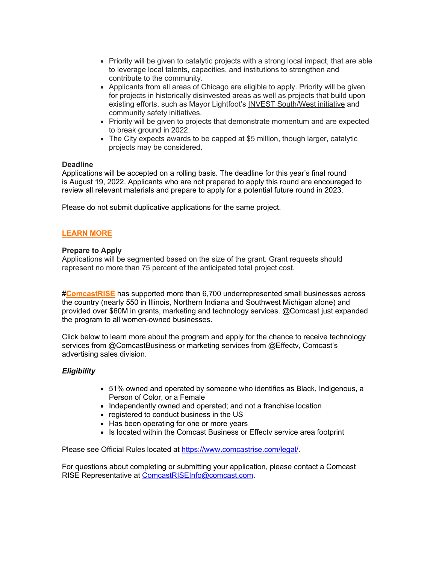- Priority will be given to catalytic projects with a strong local impact, that are able to leverage local talents, capacities, and institutions to strengthen and contribute to the community.
- Applicants from all areas of Chicago are eligible to apply. Priority will be given for projects in historically disinvested areas as well as projects that build upon existing efforts, such as Mayor Lightfoot's [INVEST South/West initiative](https://urldefense.proofpoint.com/v2/url?u=https-3A__www.chicago.gov_investsw&d=DwMFaQ&c=euGZstcaTDllvimEN8b7jXrwqOf-v5A_CdpgnVfiiMM&r=gDOaVm5AUM5na5jHJ1HiJA&m=pd24isstHAN93X2n1R6BfEsiVjE1WlXv5gzRuQYapRU&s=QbYvEwH9MA6P977xLJ88Rwc_yw7hsX_u0JhwddhuakM&e=) and community safety initiatives.
- Priority will be given to projects that demonstrate momentum and are expected to break ground in 2022.
- The City expects awards to be capped at \$5 million, though larger, catalytic projects may be considered.

## **Deadline**

Applications will be accepted on a rolling basis. The deadline for this year's final round is August 19, 2022. Applicants who are not prepared to apply this round are encouraged to review all relevant materials and prepare to apply for a potential future round in 2023.

Please do not submit duplicative applications for the same project.

#### **[LEARN MORE](https://urldefense.proofpoint.com/v2/url?u=https-3A__www.chicago.gov_city_en_depts_dcd_provdrs_ec-5Fdev_svcs_chicago-2Drecovery-2Dgrant-2Dapplication.html&d=DwMFaQ&c=euGZstcaTDllvimEN8b7jXrwqOf-v5A_CdpgnVfiiMM&r=gDOaVm5AUM5na5jHJ1HiJA&m=pd24isstHAN93X2n1R6BfEsiVjE1WlXv5gzRuQYapRU&s=c0nIYGOI2Xnlps_kXER-sGeXeoMzT0oT7MCvvQSntW8&e=)**

#### **Prepare to Apply**

Applications will be segmented based on the size of the grant. Grant requests should represent no more than 75 percent of the anticipated total project cost.

#**[ComcastRISE](https://urldefense.proofpoint.com/v2/url?u=https-3A__www.comcastrise.com_&d=DwMFaQ&c=euGZstcaTDllvimEN8b7jXrwqOf-v5A_CdpgnVfiiMM&r=gDOaVm5AUM5na5jHJ1HiJA&m=pd24isstHAN93X2n1R6BfEsiVjE1WlXv5gzRuQYapRU&s=l4BOtYwb2Glsc6BgKN7VHEQbe8NYvtmJ1Mh5C1wCs28&e=)** has supported more than 6,700 underrepresented small businesses across the country (nearly 550 in Illinois, Northern Indiana and Southwest Michigan alone) and provided over \$60M in grants, marketing and technology services. @Comcast just expanded the program to all women-owned businesses.

Click below to learn more about the program and apply for the chance to receive technology services from @ComcastBusiness or marketing services from @Effectv, Comcast's advertising sales division.

## *Eligibility*

- 51% owned and operated by someone who identifies as Black, Indigenous, a Person of Color, or a Female
- Independently owned and operated; and not a franchise location
- registered to conduct business in the US
- Has been operating for one or more years
- Is located within the Comcast Business or Effecty service area footprint

Please see Official Rules located at<https://www.comcastrise.com/legal/>.

For questions about completing or submitting your application, please contact a Comcast RISE Representative at [ComcastRISEInfo@comcast.com.](mailto:ComcastRISEInfo@comcast.com)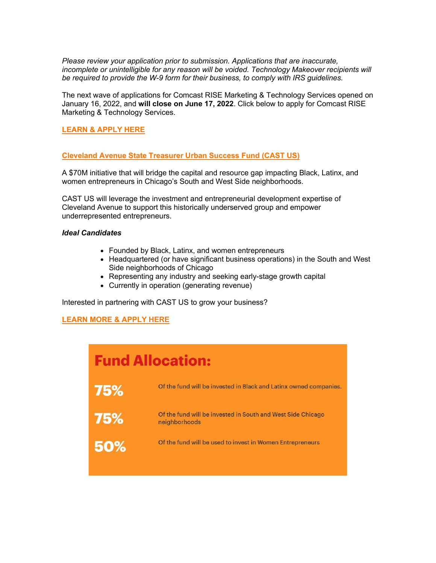*Please review your application prior to submission. Applications that are inaccurate, incomplete or unintelligible for any reason will be voided. Technology Makeover recipients will be required to provide the W-9 form for their business, to comply with IRS guidelines.*

The next wave of applications for Comcast RISE Marketing & Technology Services opened on January 16, 2022, and **will close on June 17, 2022**. Click below to apply for Comcast RISE Marketing & Technology Services.

#### **[LEARN & APPLY HERE](https://urldefense.proofpoint.com/v2/url?u=https-3A__www.comcastrise.com_rise-2Dapply_&d=DwMFaQ&c=euGZstcaTDllvimEN8b7jXrwqOf-v5A_CdpgnVfiiMM&r=gDOaVm5AUM5na5jHJ1HiJA&m=pd24isstHAN93X2n1R6BfEsiVjE1WlXv5gzRuQYapRU&s=kqNLXZDBqeQSwIOXR3zuvsaVgweGA2JMTT-5x9Tsj-4&e=)**

#### **[Cleveland Avenue State Treasurer Urban Success Fund \(CAST US\)](https://urldefense.proofpoint.com/v2/url?u=https-3A__www.castus.page_&d=DwMFaQ&c=euGZstcaTDllvimEN8b7jXrwqOf-v5A_CdpgnVfiiMM&r=gDOaVm5AUM5na5jHJ1HiJA&m=pd24isstHAN93X2n1R6BfEsiVjE1WlXv5gzRuQYapRU&s=byNmxexsVrLn6CQe1_QpyrRUyI0jt11YX_pwTXIVOK0&e=)**

A \$70M initiative that will bridge the capital and resource gap impacting Black, Latinx, and women entrepreneurs in Chicago's South and West Side neighborhoods.

CAST US will leverage the investment and entrepreneurial development expertise of Cleveland Avenue to support this historically underserved group and empower underrepresented entrepreneurs.

#### *Ideal Candidates*

- Founded by Black, Latinx, and women entrepreneurs
- Headquartered (or have significant business operations) in the South and West Side neighborhoods of Chicago
- Representing any industry and seeking early-stage growth capital
- Currently in operation (generating revenue)

Interested in partnering with CAST US to grow your business?

## **[LEARN MORE & APPLY HERE](https://urldefense.proofpoint.com/v2/url?u=https-3A__www.castus.page_&d=DwMFaQ&c=euGZstcaTDllvimEN8b7jXrwqOf-v5A_CdpgnVfiiMM&r=gDOaVm5AUM5na5jHJ1HiJA&m=pd24isstHAN93X2n1R6BfEsiVjE1WlXv5gzRuQYapRU&s=byNmxexsVrLn6CQe1_QpyrRUyI0jt11YX_pwTXIVOK0&e=)**

| <b>Fund Allocation:</b> |                                                                              |
|-------------------------|------------------------------------------------------------------------------|
| 75%                     | Of the fund will be invested in Black and Latinx owned companies.            |
| <b>75%</b>              | Of the fund will be invested in South and West Side Chicago<br>neighborhoods |
| 50%                     | Of the fund will be used to invest in Women Entrepreneurs                    |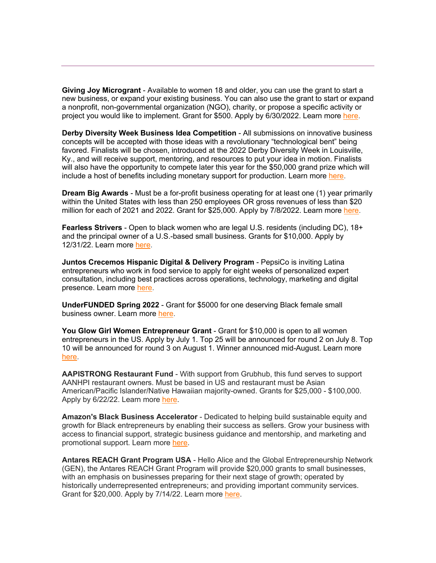**Giving Joy Microgrant** - Available to women 18 and older, you can use the grant to start a new business, or expand your existing business. You can also use the grant to start or expand a nonprofit, non-governmental organization (NGO), charity, or propose a specific activity or project you would like to implement. Grant for \$500. Apply by 6/30/2022. Learn more [here.](https://urldefense.proofpoint.com/v2/url?u=https-3A__givingjoygrants.org_grant-2Dapplication&d=DwMFAw&c=euGZstcaTDllvimEN8b7jXrwqOf-v5A_CdpgnVfiiMM&r=dnXzxc_n2GkW_qziTJ1yXZod2SrGdSTy58-1Lg0JgpY&m=6ZXLFTYryEbPUamRAvyLDtD51orN9KXpaiTvZ6ykTF8&s=y3i7u4WdGhGERXSZhm4dI5L2YkBDSM4MRzIocNJggBY&e=)

**Derby Diversity Week Business Idea Competition** - All submissions on innovative business concepts will be accepted with those ideas with a revolutionary "technological bent" being favored. Finalists will be chosen, introduced at the 2022 Derby Diversity Week in Louisville, Ky., and will receive support, mentoring, and resources to put your idea in motion. Finalists will also have the opportunity to compete later this year for the \$50,000 grand prize which will include a host of benefits including monetary support for production. Learn more [here.](https://urldefense.proofpoint.com/v2/url?u=https-3A__www.derbydiversity.com_ideathon-2D2022&d=DwMFAw&c=euGZstcaTDllvimEN8b7jXrwqOf-v5A_CdpgnVfiiMM&r=dnXzxc_n2GkW_qziTJ1yXZod2SrGdSTy58-1Lg0JgpY&m=6ZXLFTYryEbPUamRAvyLDtD51orN9KXpaiTvZ6ykTF8&s=pyubyU797BtXI6MxkEOGGHHTppfpIhLmtjPg3qpB4f4&e=)

**Dream Big Awards** - Must be a for-profit business operating for at least one (1) year primarily within the United States with less than 250 employees OR gross revenues of less than \$20 million for each of 2021 and 2022. Grant for \$25,000. Apply by 7/8/2022. Learn more [here.](https://urldefense.proofpoint.com/v2/url?u=https-3A__www.uschamber.com_co_dream-2Dbig-2Dawards_dream-2Dbig-2Dawards-2D2022&d=DwMFAw&c=euGZstcaTDllvimEN8b7jXrwqOf-v5A_CdpgnVfiiMM&r=dnXzxc_n2GkW_qziTJ1yXZod2SrGdSTy58-1Lg0JgpY&m=6ZXLFTYryEbPUamRAvyLDtD51orN9KXpaiTvZ6ykTF8&s=jtdb65gw0O2zAgqRT_o5CeIrb9JVp40Fx8xq_FATcPI&e=)

**Fearless Strivers** - Open to black women who are legal U.S. residents (including DC), 18+ and the principal owner of a U.S.-based small business. Grants for \$10,000. Apply by 12/31/22. Learn more [here.](https://urldefense.proofpoint.com/v2/url?u=https-3A__www.fearless.fund_strivers&d=DwMFAw&c=euGZstcaTDllvimEN8b7jXrwqOf-v5A_CdpgnVfiiMM&r=dnXzxc_n2GkW_qziTJ1yXZod2SrGdSTy58-1Lg0JgpY&m=6ZXLFTYryEbPUamRAvyLDtD51orN9KXpaiTvZ6ykTF8&s=3iorIYTT39cc4UJMo72uW5lbvHOhiMYuGX4kkt5vvVE&e=)

**Juntos Crecemos Hispanic Digital & Delivery Program** - PepsiCo is inviting Latina entrepreneurs who work in food service to apply for eight weeks of personalized expert consultation, including best practices across operations, technology, marketing and digital presence. Learn more [here.](https://urldefense.proofpoint.com/v2/url?u=https-3A__pepsicojuntoscrecemos.com_jefaowned_&d=DwMFAw&c=euGZstcaTDllvimEN8b7jXrwqOf-v5A_CdpgnVfiiMM&r=dnXzxc_n2GkW_qziTJ1yXZod2SrGdSTy58-1Lg0JgpY&m=6ZXLFTYryEbPUamRAvyLDtD51orN9KXpaiTvZ6ykTF8&s=WAsKrM7aHlJWzr5o2NHMV0tEwpyvTpAbFznE-MWAnW0&e=)

**UnderFUNDED Spring 2022** - Grant for \$5000 for one deserving Black female small business owner. Learn more [here.](https://urldefense.proofpoint.com/v2/url?u=https-3A__www.thewellwork.co_grants-23apply-2Dnow&d=DwMFAw&c=euGZstcaTDllvimEN8b7jXrwqOf-v5A_CdpgnVfiiMM&r=dnXzxc_n2GkW_qziTJ1yXZod2SrGdSTy58-1Lg0JgpY&m=6ZXLFTYryEbPUamRAvyLDtD51orN9KXpaiTvZ6ykTF8&s=LC3ulKWgYx_vaBOPpOt_xEuDpA9ld46R3_lZETbMIRk&e=)

**You Glow Girl Women Entrepreneur Grant** - Grant for \$10,000 is open to all women entrepreneurs in the US. Apply by July 1. Top 25 will be announced for round 2 on July 8. Top 10 will be announced for round 3 on August 1. Winner announced mid-August. Learn more [here.](https://urldefense.proofpoint.com/v2/url?u=https-3A__www.eatmeguiltfree.com_pages_youglowgirl&d=DwMFAw&c=euGZstcaTDllvimEN8b7jXrwqOf-v5A_CdpgnVfiiMM&r=dnXzxc_n2GkW_qziTJ1yXZod2SrGdSTy58-1Lg0JgpY&m=6ZXLFTYryEbPUamRAvyLDtD51orN9KXpaiTvZ6ykTF8&s=ZcwgQSmwxKHJkaDy75vHxB9n6pzt8AO3OmWUVWrEiso&e=)

**AAPISTRONG Restaurant Fund** - With support from Grubhub, this fund serves to support AANHPI restaurant owners. Must be based in US and restaurant must be Asian American/Pacific Islander/Native Hawaiian majority-owned. Grants for \$25,000 - \$100,000. Apply by 6/22/22. Learn more [here.](https://urldefense.proofpoint.com/v2/url?u=https-3A__www.aapistrong.com_2022-2Drestaurant-2Dfund&d=DwMFaQ&c=euGZstcaTDllvimEN8b7jXrwqOf-v5A_CdpgnVfiiMM&r=gDOaVm5AUM5na5jHJ1HiJA&m=pd24isstHAN93X2n1R6BfEsiVjE1WlXv5gzRuQYapRU&s=GrcHIW0QYr4PjyWf7BJVMDAFtZ6M3f6fTDolUqVN1AE&e=)

**Amazon's Black Business Accelerator** - Dedicated to helping build sustainable equity and growth for Black entrepreneurs by enabling their success as sellers. Grow your business with access to financial support, strategic business guidance and mentorship, and marketing and promotional support. Learn more [here.](https://urldefense.proofpoint.com/v2/url?u=https-3A__sell.amazon.com_programs_black-2Dbusiness-2Daccelerator&d=DwMFaQ&c=euGZstcaTDllvimEN8b7jXrwqOf-v5A_CdpgnVfiiMM&r=gDOaVm5AUM5na5jHJ1HiJA&m=pd24isstHAN93X2n1R6BfEsiVjE1WlXv5gzRuQYapRU&s=qAUhNdvSWZXOMc5vh0tgdJVzrFaoVvBgOkPQXIo-7-8&e=)

**Antares REACH Grant Program USA** - Hello Alice and the Global Entrepreneurship Network (GEN), the Antares REACH Grant Program will provide \$20,000 grants to small businesses, with an emphasis on businesses preparing for their next stage of growth; operated by historically underrepresented entrepreneurs; and providing important community services. Grant for \$20,000. Apply by 7/14/22. Learn more [here.](https://urldefense.proofpoint.com/v2/url?u=https-3A__helloalice.com_grants_antares-2Dcapital_&d=DwMFaQ&c=euGZstcaTDllvimEN8b7jXrwqOf-v5A_CdpgnVfiiMM&r=gDOaVm5AUM5na5jHJ1HiJA&m=pd24isstHAN93X2n1R6BfEsiVjE1WlXv5gzRuQYapRU&s=ykG7jNrfWVswm2mex0gq-EIbHJJoEX7jyukaeU8uGY8&e=)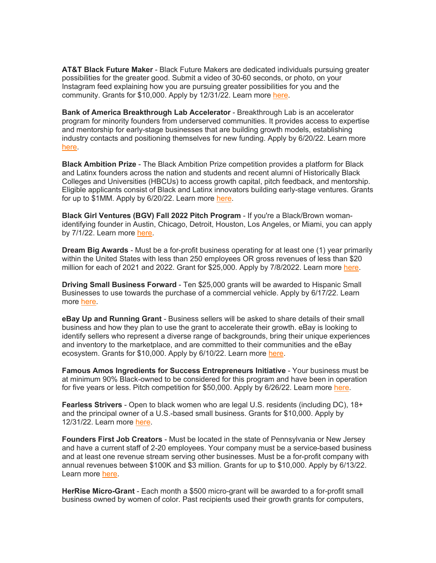**AT&T Black Future Maker** - Black Future Makers are dedicated individuals pursuing greater possibilities for the greater good. Submit a video of 30-60 seconds, or photo, on your Instagram feed explaining how you are pursuing greater possibilities for you and the community. Grants for \$10,000. Apply by 12/31/22. Learn more [here.](https://urldefense.proofpoint.com/v2/url?u=https-3A__www.attdreaminblack.com_contest&d=DwMFaQ&c=euGZstcaTDllvimEN8b7jXrwqOf-v5A_CdpgnVfiiMM&r=gDOaVm5AUM5na5jHJ1HiJA&m=pd24isstHAN93X2n1R6BfEsiVjE1WlXv5gzRuQYapRU&s=RPXi6Wms1xboK1tVhYnwhD5B304x26jsZyo3LOtGuEI&e=)

**Bank of America Breakthrough Lab Accelerator** - Breakthrough Lab is an accelerator program for minority founders from underserved communities. It provides access to expertise and mentorship for early-stage businesses that are building growth models, establishing industry contacts and positioning themselves for new funding. Apply by 6/20/22. Learn more [here.](https://urldefense.proofpoint.com/v2/url?u=https-3A__business.bofa.com_en-2Dus_content_breakthrough-2Dlab-2Daccelerator-2Dprogram.html&d=DwMFaQ&c=euGZstcaTDllvimEN8b7jXrwqOf-v5A_CdpgnVfiiMM&r=gDOaVm5AUM5na5jHJ1HiJA&m=pd24isstHAN93X2n1R6BfEsiVjE1WlXv5gzRuQYapRU&s=8wj7SSTIqX78QuD8lcB22I0TR54zckUIr0Yxo-Osuns&e=)

**Black Ambition Prize** - The Black Ambition Prize competition provides a platform for Black and Latinx founders across the nation and students and recent alumni of Historically Black Colleges and Universities (HBCUs) to access growth capital, pitch feedback, and mentorship. Eligible applicants consist of Black and Latinx innovators building early-stage ventures. Grants for up to \$1MM. Apply by 6/20/22. Learn more [here.](https://urldefense.proofpoint.com/v2/url?u=https-3A__blackambitionprize.com_prize-2Dapplication&d=DwMFaQ&c=euGZstcaTDllvimEN8b7jXrwqOf-v5A_CdpgnVfiiMM&r=gDOaVm5AUM5na5jHJ1HiJA&m=pd24isstHAN93X2n1R6BfEsiVjE1WlXv5gzRuQYapRU&s=aKk8UOC05x9byFFRGCt8_n4ym9esejsvzjFVQOnIn1Q&e=)

**Black Girl Ventures (BGV) Fall 2022 Pitch Program** - If you're a Black/Brown womanidentifying founder in Austin, Chicago, Detroit, Houston, Los Angeles, or Miami, you can apply by 7/1/22. Learn more [here.](https://urldefense.proofpoint.com/v2/url?u=https-3A__www.blackgirlventures.org_apply-2Dto-2Dpitch&d=DwMFaQ&c=euGZstcaTDllvimEN8b7jXrwqOf-v5A_CdpgnVfiiMM&r=gDOaVm5AUM5na5jHJ1HiJA&m=pd24isstHAN93X2n1R6BfEsiVjE1WlXv5gzRuQYapRU&s=j-kUcZ3FovJpyu8M9oDYDNDuUdgG8PHK8FeWRf8je90&e=)

**Dream Big Awards** - Must be a for-profit business operating for at least one (1) year primarily within the United States with less than 250 employees OR gross revenues of less than \$20 million for each of 2021 and 2022. Grant for \$25,000. Apply by 7/8/2022. Learn more [here.](https://urldefense.proofpoint.com/v2/url?u=https-3A__www.uschamber.com_co_dream-2Dbig-2Dawards_dream-2Dbig-2Dawards-2D2022&d=DwMFaQ&c=euGZstcaTDllvimEN8b7jXrwqOf-v5A_CdpgnVfiiMM&r=gDOaVm5AUM5na5jHJ1HiJA&m=pd24isstHAN93X2n1R6BfEsiVjE1WlXv5gzRuQYapRU&s=CVUQaZevb1232vzTnhZWjPvLdoR1Pe-s3rKqkMzxHwM&e=)

**Driving Small Business Forward** - Ten \$25,000 grants will be awarded to Hispanic Small Businesses to use towards the purchase of a commercial vehicle. Apply by 6/17/22. Learn more [here.](https://urldefense.proofpoint.com/v2/url?u=https-3A__helloalice.com_partners_progressive_&d=DwMFaQ&c=euGZstcaTDllvimEN8b7jXrwqOf-v5A_CdpgnVfiiMM&r=gDOaVm5AUM5na5jHJ1HiJA&m=pd24isstHAN93X2n1R6BfEsiVjE1WlXv5gzRuQYapRU&s=bgr9zAb4X79QuJ_9BnAD1bZ6L3C-XhzoFoLqC0ISuxI&e=)

**eBay Up and Running Grant** - Business sellers will be asked to share details of their small business and how they plan to use the grant to accelerate their growth. eBay is looking to identify sellers who represent a diverse range of backgrounds, bring their unique experiences and inventory to the marketplace, and are committed to their communities and the eBay ecosystem. Grants for \$10,000. Apply by 6/10/22. Learn more [here.](https://urldefense.proofpoint.com/v2/url?u=https-3A__helloalice.com_partners_ebay_&d=DwMFaQ&c=euGZstcaTDllvimEN8b7jXrwqOf-v5A_CdpgnVfiiMM&r=gDOaVm5AUM5na5jHJ1HiJA&m=pd24isstHAN93X2n1R6BfEsiVjE1WlXv5gzRuQYapRU&s=r2Ea37MAY-OuqgqW3u0TPB-aF6Ofy9baafGdpPDuZI0&e=)

**Famous Amos Ingredients for Success Entrepreneurs Initiative** - Your business must be at minimum 90% Black-owned to be considered for this program and have been in operation for five years or less. Pitch competition for \$50,000. Apply by 6/26/22. Learn more [here.](https://urldefense.proofpoint.com/v2/url?u=https-3A__famousamos.nationalbcc.org_apply&d=DwMFaQ&c=euGZstcaTDllvimEN8b7jXrwqOf-v5A_CdpgnVfiiMM&r=gDOaVm5AUM5na5jHJ1HiJA&m=pd24isstHAN93X2n1R6BfEsiVjE1WlXv5gzRuQYapRU&s=pPC0ut9uYLzzVrr-DSkxDQaBJjpGSuN2EOBPpY6tSO4&e=)

**Fearless Strivers** - Open to black women who are legal U.S. residents (including DC), 18+ and the principal owner of a U.S.-based small business. Grants for \$10,000. Apply by 12/31/22. Learn more [here.](https://urldefense.proofpoint.com/v2/url?u=https-3A__www.fearless.fund_strivers&d=DwMFaQ&c=euGZstcaTDllvimEN8b7jXrwqOf-v5A_CdpgnVfiiMM&r=gDOaVm5AUM5na5jHJ1HiJA&m=pd24isstHAN93X2n1R6BfEsiVjE1WlXv5gzRuQYapRU&s=-rdYDHpwCtuPw2IVadUKe7DB6_OftCQ_OvWd41jb4IA&e=)

**Founders First Job Creators** - Must be located in the state of Pennsylvania or New Jersey and have a current staff of 2-20 employees. Your company must be a service-based business and at least one revenue stream serving other businesses. Must be a for-profit company with annual revenues between \$100K and \$3 million. Grants for up to \$10,000. Apply by 6/13/22. Learn more [here.](https://urldefense.proofpoint.com/v2/url?u=https-3A__foundersfirstcdc.org_pa-2Dnj_&d=DwMFaQ&c=euGZstcaTDllvimEN8b7jXrwqOf-v5A_CdpgnVfiiMM&r=gDOaVm5AUM5na5jHJ1HiJA&m=pd24isstHAN93X2n1R6BfEsiVjE1WlXv5gzRuQYapRU&s=XJjsrrhDeVKTD-RXY2_XukKxjbT0HgDg0gfaVpSX-1k&e=)

**HerRise Micro-Grant** - Each month a \$500 micro-grant will be awarded to a for-profit small business owned by women of color. Past recipients used their growth grants for computers,